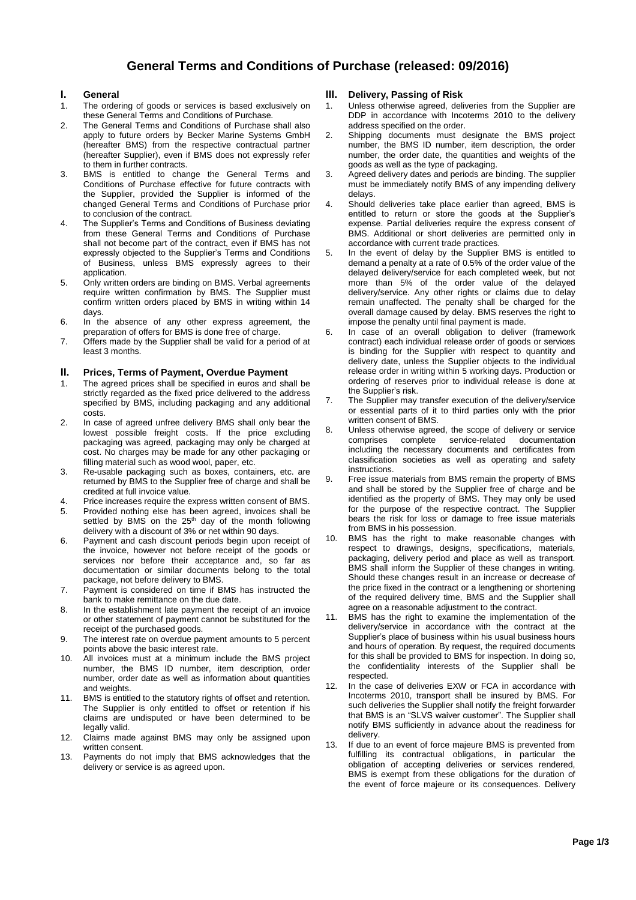# **General Terms and Conditions of Purchase (released: 09/2016)**

## **I. General**

- 1. The ordering of goods or services is based exclusively on these General Terms and Conditions of Purchase.
- 2. The General Terms and Conditions of Purchase shall also apply to future orders by Becker Marine Systems GmbH (hereafter BMS) from the respective contractual partner (hereafter Supplier), even if BMS does not expressly refer to them in further contracts.
- 3. BMS is entitled to change the General Terms and Conditions of Purchase effective for future contracts with the Supplier, provided the Supplier is informed of the changed General Terms and Conditions of Purchase prior to conclusion of the contract.
- 4. The Supplier's Terms and Conditions of Business deviating from these General Terms and Conditions of Purchase shall not become part of the contract, even if BMS has not expressly objected to the Supplier's Terms and Conditions of Business, unless BMS expressly agrees to their application.
- 5. Only written orders are binding on BMS. Verbal agreements require written confirmation by BMS. The Supplier must confirm written orders placed by BMS in writing within 14 days.
- 6. In the absence of any other express agreement, the preparation of offers for BMS is done free of charge.
- 7. Offers made by the Supplier shall be valid for a period of at least 3 months.

### **II. Prices, Terms of Payment, Overdue Payment**

- 1. The agreed prices shall be specified in euros and shall be strictly regarded as the fixed price delivered to the address specified by BMS, including packaging and any additional costs.
- 2. In case of agreed unfree delivery BMS shall only bear the lowest possible freight costs. If the price excluding packaging was agreed, packaging may only be charged at cost. No charges may be made for any other packaging or filling material such as wood wool, paper, etc.
- 3. Re-usable packaging such as boxes, containers, etc. are returned by BMS to the Supplier free of charge and shall be credited at full invoice value.
- 4. Price increases require the express written consent of BMS.
- 5. Provided nothing else has been agreed, invoices shall be settled by BMS on the 25<sup>th</sup> day of the month following delivery with a discount of 3% or net within 90 days.
- 6. Payment and cash discount periods begin upon receipt of the invoice, however not before receipt of the goods or services nor before their acceptance and, so far as documentation or similar documents belong to the total package, not before delivery to BMS.
- 7. Payment is considered on time if BMS has instructed the bank to make remittance on the due date.
- 8. In the establishment late payment the receipt of an invoice or other statement of payment cannot be substituted for the receipt of the purchased goods.
- 9. The interest rate on overdue payment amounts to 5 percent points above the basic interest rate.
- 10. All invoices must at a minimum include the BMS project number, the BMS ID number, item description, order number, order date as well as information about quantities and weights.
- 11. BMS is entitled to the statutory rights of offset and retention. The Supplier is only entitled to offset or retention if his claims are undisputed or have been determined to be legally valid.
- 12. Claims made against BMS may only be assigned upon written consent.
- 13. Payments do not imply that BMS acknowledges that the delivery or service is as agreed upon.

# **III. Delivery, Passing of Risk**

- 1. Unless otherwise agreed, deliveries from the Supplier are DDP in accordance with Incoterms 2010 to the delivery address specified on the order.
- 2. Shipping documents must designate the BMS project number, the BMS ID number, item description, the order number, the order date, the quantities and weights of the goods as well as the type of packaging.
- 3. Agreed delivery dates and periods are binding. The supplier must be immediately notify BMS of any impending delivery delays.
- 4. Should deliveries take place earlier than agreed, BMS is entitled to return or store the goods at the Supplier's expense. Partial deliveries require the express consent of BMS. Additional or short deliveries are permitted only in accordance with current trade practices.
- 5. In the event of delay by the Supplier BMS is entitled to demand a penalty at a rate of 0.5% of the order value of the delayed delivery/service for each completed week, but not more than 5% of the order value of the delayed delivery/service. Any other rights or claims due to delay remain unaffected. The penalty shall be charged for the overall damage caused by delay. BMS reserves the right to impose the penalty until final payment is made.
- 6. In case of an overall obligation to deliver (framework contract) each individual release order of goods or services is binding for the Supplier with respect to quantity and delivery date, unless the Supplier objects to the individual release order in writing within 5 working days. Production or ordering of reserves prior to individual release is done at the Supplier's risk.
- 7. The Supplier may transfer execution of the delivery/service or essential parts of it to third parties only with the prior written consent of BMS.
- 8. Unless otherwise agreed, the scope of delivery or service<br>comprises complete service-related documentation service-related including the necessary documents and certificates from classification societies as well as operating and safety instructions.
- 9. Free issue materials from BMS remain the property of BMS and shall be stored by the Supplier free of charge and be identified as the property of BMS. They may only be used for the purpose of the respective contract. The Supplier bears the risk for loss or damage to free issue materials from BMS in his possession.
- 10. BMS has the right to make reasonable changes with respect to drawings, designs, specifications, materials, packaging, delivery period and place as well as transport. BMS shall inform the Supplier of these changes in writing. Should these changes result in an increase or decrease of the price fixed in the contract or a lengthening or shortening of the required delivery time, BMS and the Supplier shall agree on a reasonable adjustment to the contract.
- 11. BMS has the right to examine the implementation of the delivery/service in accordance with the contract at the Supplier's place of business within his usual business hours and hours of operation. By request, the required documents for this shall be provided to BMS for inspection. In doing so, the confidentiality interests of the Supplier shall be respected.
- 12. In the case of deliveries EXW or FCA in accordance with Incoterms 2010, transport shall be insured by BMS. For such deliveries the Supplier shall notify the freight forwarder that BMS is an "SLVS waiver customer". The Supplier shall notify BMS sufficiently in advance about the readiness for delivery.
- 13. If due to an event of force majeure BMS is prevented from fulfilling its contractual obligations, in particular the obligation of accepting deliveries or services rendered, BMS is exempt from these obligations for the duration of the event of force majeure or its consequences. Delivery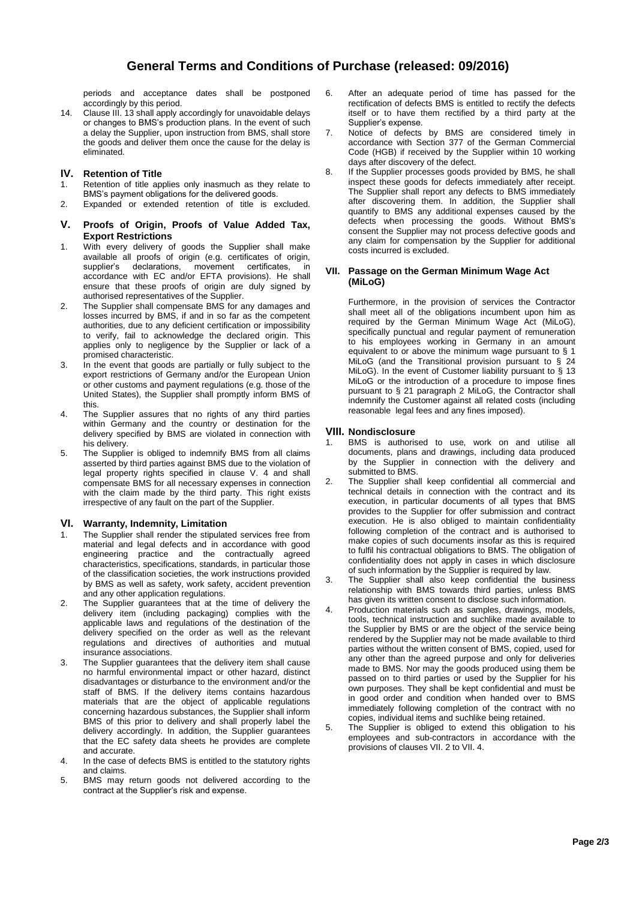periods and acceptance dates shall be postponed accordingly by this period.

14. Clause III. 13 shall apply accordingly for unavoidable delays or changes to BMS's production plans. In the event of such a delay the Supplier, upon instruction from BMS, shall store the goods and deliver them once the cause for the delay is eliminated.

# **IV. Retention of Title**

- 1. Retention of title applies only inasmuch as they relate to BMS's payment obligations for the delivered goods.
- 2. Expanded or extended retention of title is excluded.

#### **V. Proofs of Origin, Proofs of Value Added Tax, Export Restrictions**

- 1. With every delivery of goods the Supplier shall make available all proofs of origin (e.g. certificates of origin, supplier's declarations, movement certificates, in accordance with EC and/or EFTA provisions). He shall ensure that these proofs of origin are duly signed by authorised representatives of the Supplier.
- 2. The Supplier shall compensate BMS for any damages and losses incurred by BMS, if and in so far as the competent authorities, due to any deficient certification or impossibility to verify, fail to acknowledge the declared origin. This applies only to negligence by the Supplier or lack of a promised characteristic.
- 3. In the event that goods are partially or fully subject to the export restrictions of Germany and/or the European Union or other customs and payment regulations (e.g. those of the United States), the Supplier shall promptly inform BMS of this.
- 4. The Supplier assures that no rights of any third parties within Germany and the country or destination for the delivery specified by BMS are violated in connection with his delivery.
- 5. The Supplier is obliged to indemnify BMS from all claims asserted by third parties against BMS due to the violation of legal property rights specified in clause V. 4 and shall compensate BMS for all necessary expenses in connection with the claim made by the third party. This right exists irrespective of any fault on the part of the Supplier.

### **VI. Warranty, Indemnity, Limitation**

- 1. The Supplier shall render the stipulated services free from material and legal defects and in accordance with good engineering practice and the contractually agreed characteristics, specifications, standards, in particular those of the classification societies, the work instructions provided by BMS as well as safety, work safety, accident prevention and any other application regulations.
- 2. The Supplier guarantees that at the time of delivery the delivery item (including packaging) complies with the applicable laws and regulations of the destination of the delivery specified on the order as well as the relevant regulations and directives of authorities and mutual insurance associations.
- 3. The Supplier guarantees that the delivery item shall cause no harmful environmental impact or other hazard, distinct disadvantages or disturbance to the environment and/or the staff of BMS. If the delivery items contains hazardous materials that are the object of applicable regulations concerning hazardous substances, the Supplier shall inform BMS of this prior to delivery and shall properly label the delivery accordingly. In addition, the Supplier guarantees that the EC safety data sheets he provides are complete and accurate.
- 4. In the case of defects BMS is entitled to the statutory rights and claims.
- 5. BMS may return goods not delivered according to the contract at the Supplier's risk and expense.
- 6. After an adequate period of time has passed for the rectification of defects BMS is entitled to rectify the defects itself or to have them rectified by a third party at the Supplier's expense.
- 7. Notice of defects by BMS are considered timely in accordance with Section 377 of the German Commercial Code (HGB) if received by the Supplier within 10 working days after discovery of the defect.
- 8. If the Supplier processes goods provided by BMS, he shall inspect these goods for defects immediately after receipt. The Supplier shall report any defects to BMS immediately after discovering them. In addition, the Supplier shall quantify to BMS any additional expenses caused by the defects when processing the goods. Without BMS's consent the Supplier may not process defective goods and any claim for compensation by the Supplier for additional costs incurred is excluded.

### **VII. Passage on the German Minimum Wage Act (MiLoG)**

Furthermore, in the provision of services the Contractor shall meet all of the obligations incumbent upon him as required by the German Minimum Wage Act (MiLoG), specifically punctual and regular payment of remuneration to his employees working in Germany in an amount equivalent to or above the minimum wage pursuant to § 1 MiLoG (and the Transitional provision pursuant to § 24 MiLoG). In the event of Customer liability pursuant to § 13 MiLoG or the introduction of a procedure to impose fines pursuant to § 21 paragraph 2 MiLoG, the Contractor shall indemnify the Customer against all related costs (including reasonable legal fees and any fines imposed).

#### **VIII. Nondisclosure**

- 1. BMS is authorised to use, work on and utilise all documents, plans and drawings, including data produced by the Supplier in connection with the delivery and submitted to BMS.
- 2. The Supplier shall keep confidential all commercial and technical details in connection with the contract and its execution, in particular documents of all types that BMS provides to the Supplier for offer submission and contract execution. He is also obliged to maintain confidentiality following completion of the contract and is authorised to make copies of such documents insofar as this is required to fulfil his contractual obligations to BMS. The obligation of confidentiality does not apply in cases in which disclosure of such information by the Supplier is required by law.
- 3. The Supplier shall also keep confidential the business relationship with BMS towards third parties, unless BMS has given its written consent to disclose such information.
- 4. Production materials such as samples, drawings, models, tools, technical instruction and suchlike made available to the Supplier by BMS or are the object of the service being rendered by the Supplier may not be made available to third parties without the written consent of BMS, copied, used for any other than the agreed purpose and only for deliveries made to BMS. Nor may the goods produced using them be passed on to third parties or used by the Supplier for his own purposes. They shall be kept confidential and must be in good order and condition when handed over to BMS immediately following completion of the contract with no copies, individual items and suchlike being retained.
- 5. The Supplier is obliged to extend this obligation to his employees and sub-contractors in accordance with the provisions of clauses VII. 2 to VII. 4.